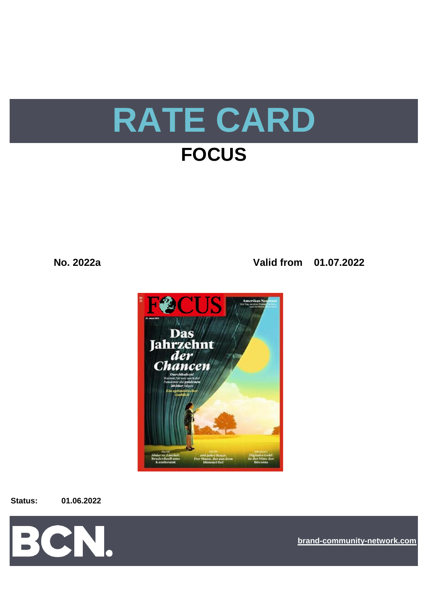

**No. 2022a Valid from 01.07.2022**



**Status: 01.06.2022**



**[bra](https://bcn.burda.com/)nd-community-network.com**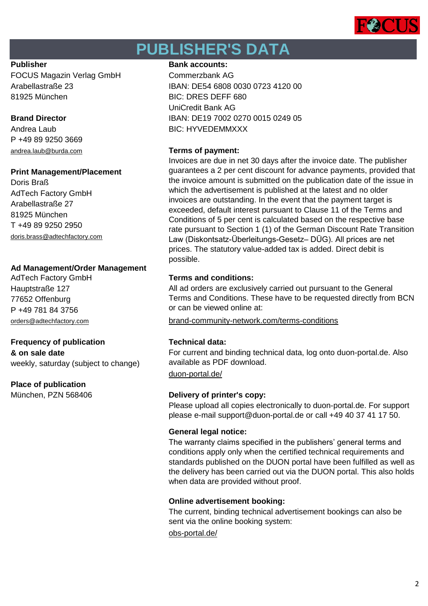

# **PUBLISHER'S DATA**

FOCUS Magazin Verlag GmbH Commerzbank AG 81925 München BIC: DRES DEFF 680

P +49 89 9250 3669 [andrea.laub@burda.com](mailto:andrea.laub@burda.com) **Terms of payment:**

# **Print Management/Placement**

Doris Braß AdTech Factory GmbH Arabellastraße 27 81925 München T +49 89 9250 2950 [doris.brass@adtechfactory.com](mailto:doris.brass@adtechfactory.com)

# **Ad Management/Order Management**

Hauptstraße 127 77652 Offenburg P +49 781 84 3756

# **Frequency of publication Technical data:**

**& on sale date** weekly, saturday (subject to change)

# **Place of publication**

# **Publisher Bank accounts: Bank accounts:**

Arabellastraße 23 IBAN: DE54 6808 0030 0723 4120 00 UniCredit Bank AG **Brand Director IBAN: DE19 7002 0270 0015 0249 05** Andrea Laub BIC: HYVEDEMMXXX

Invoices are due in net 30 days after the invoice date. The publisher guarantees a 2 per cent discount for advance payments, provided that the invoice amount is submitted on the publication date of the issue in which the advertisement is published at the latest and no older invoices are outstanding. In the event that the payment target is exceeded, default interest pursuant to Clause 11 of the Terms and Conditions of 5 per cent is calculated based on the respective base rate pursuant to Section 1 (1) of the German Discount Rate Transition Law (Diskontsatz-Überleitungs-Gesetz– DÜG). All prices are net prices. The statutory value-added tax is added. Direct debit is possible.

# AdTech Factory GmbH **Terms and conditions:**

All ad orders are exclusively carried out pursuant to the General Terms and Conditions. These have to be requested directly from BCN or can be viewed online at:

[orders@adtechfactory.com](mailto:orders@adtechfactory.com) [brand-community-network.com/terms-conditions](https://bcn.burda.com/terms-conditions)

For current and binding technical data, log onto duon-portal.de. Also available as PDF download.

[duon-portal.de/](https://duon-portal.de/)

# München, PZN 568406 **Delivery of printer's copy:**

Please upload all copies electronically to duon-portal.de. For support please e-mail support@duon-portal.de or call +49 40 37 41 17 50.

# **General legal notice:**

The warranty claims specified in the publishers' general terms and conditions apply only when the certified technical requirements and standards published on the DUON portal have been fulfilled as well as the delivery has been carried out via the DUON portal. This also holds when data are provided without proof.

# **Online advertisement booking:**

The current, binding technical advertisement bookings can also be sent via the online booking system:

[obs-portal.de/](https://www.obs-portal.de/)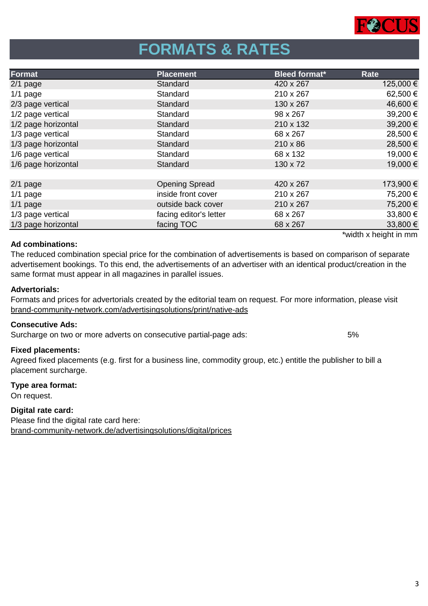

# **FORMATS & RATES**

| Format              | <b>Placement</b>       | <b>Bleed format*</b> | Rate                                          |
|---------------------|------------------------|----------------------|-----------------------------------------------|
| $2/1$ page          | Standard               | 420 x 267            | 125,000 €                                     |
| $1/1$ page          | Standard               | 210 x 267            | 62,500€                                       |
| 2/3 page vertical   | Standard               | 130 x 267            | 46,600€                                       |
| 1/2 page vertical   | Standard               | 98 x 267             | 39,200€                                       |
| 1/2 page horizontal | Standard               | 210 x 132            | 39,200€                                       |
| 1/3 page vertical   | Standard               | 68 x 267             | 28,500 €                                      |
| 1/3 page horizontal | Standard               | $210 \times 86$      | 28,500€                                       |
| 1/6 page vertical   | Standard               | 68 x 132             | 19,000 €                                      |
| 1/6 page horizontal | Standard               | 130 x 72             | 19,000€                                       |
|                     |                        |                      |                                               |
| $2/1$ page          | <b>Opening Spread</b>  | 420 x 267            | 173,900 €                                     |
| $1/1$ page          | inside front cover     | 210 x 267            | 75,200 €                                      |
| $1/1$ page          | outside back cover     | 210 x 267            | 75,200 €                                      |
| 1/3 page vertical   | facing editor's letter | 68 x 267             | 33,800 €                                      |
| 1/3 page horizontal | facing TOC             | 68 x 267             | 33,800 €                                      |
|                     |                        |                      | the stability of the stability of the measure |

## **Ad combinations:**

The reduced combination special price for the combination of advertisements is based on comparison of separate advertisement bookings. To this end, the advertisements of an advertiser with an identical product/creation in the same format must appear in all magazines in parallel issues.

## **Advertorials:**

[brand-community-network.com/advertisin](https://bcn.burda.com/advertisingsolutions/print/native-ads)gsolutions/print/native-ads Formats and prices for advertorials created by the editorial team on request. For more information, please visit

## **Consecutive Ads:**

Surcharge on two or more adverts on consecutive partial-page ads: 5%

## **Fixed placements:**

Agreed fixed placements (e.g. first for a business line, commodity group, etc.) entitle the publisher to bill a placement surcharge.

## **Type area format:**

On request.

## **Digital rate card:**

Please find the digital rate card here: [brand-community-network.de/advertisingsolutions/digital/prices](https://bcn.burda.com/advertisingsolutions/digital/prices) width x height in mm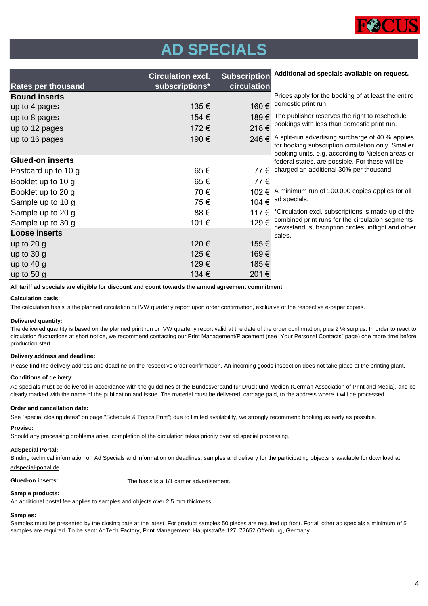

# **AD SPECIALS**

|                           | <b>Circulation excl.</b> | <b>Subscription</b> | Additional ad specials available on request.                                                            |
|---------------------------|--------------------------|---------------------|---------------------------------------------------------------------------------------------------------|
| <b>Rates per thousand</b> | subscriptions*           | circulation         |                                                                                                         |
| <b>Bound inserts</b>      |                          |                     | Prices apply for the booking of at least the entire<br>domestic print run.                              |
| up to 4 pages             | 135€                     | 160€                |                                                                                                         |
| up to 8 pages             | 154 €                    | 189€                | The publisher reserves the right to reschedule                                                          |
| up to 12 pages            | 172€                     | 218€                | bookings with less than domestic print run.                                                             |
| up to 16 pages            | 190€                     | 246€                | A split-run advertising surcharge of 40 % applies<br>for booking subscription circulation only. Smaller |
| <b>Glued-on inserts</b>   |                          |                     | booking units, e.g. according to Nielsen areas or<br>federal states, are possible. For these will be    |
| Postcard up to 10 g       | 65€                      | 77 €                | charged an additional 30% per thousand.                                                                 |
| Booklet up to 10 g        | 65€                      | 77€                 |                                                                                                         |
| Booklet up to 20 g        | 70€                      | 102 €               | A minimum run of 100,000 copies applies for all                                                         |
| Sample up to 10 g         | 75€                      | 104 €               | ad specials.                                                                                            |
| Sample up to 20 g         | 88€                      | 117 €               | *Circulation excl. subscriptions is made up of the                                                      |
| Sample up to 30 g         | 101€                     | 129€                | combined print runs for the circulation segments                                                        |
| <b>Loose inserts</b>      |                          |                     | newsstand, subscription circles, inflight and other<br>sales.                                           |
| up to $20$ g              | 120 €                    | 155€                |                                                                                                         |
| up to $30$ g              | 125€                     | 169€                |                                                                                                         |
| up to $40 g$              | 129€                     | 185€                |                                                                                                         |
| up to $50 g$              | 134 €                    | 201€                |                                                                                                         |

**All tariff ad specials are eligible for discount and count towards the annual agreement commitment.**

### **Calculation basis:**

The calculation basis is the planned circulation or IVW quarterly report upon order confirmation, exclusive of the respective e-paper copies.

### **Delivered quantity:**

The delivered quantity is based on the planned print run or IVW quarterly report valid at the date of the order confirmation, plus 2 % surplus. In order to react to circulation fluctuations at short notice, we recommend contacting our Print Management/Placement (see "Your Personal Contacts" page) one more time before production start.

### **Delivery address and deadline:**

Please find the delivery address and deadline on the respective order confirmation. An incoming goods inspection does not take place at the printing plant.

### **Conditions of delivery:**

Ad specials must be delivered in accordance with the guidelines of the Bundesverband für Druck und Medien (German Association of Print and Media), and be clearly marked with the name of the publication and issue. The material must be delivered, carriage paid, to the address where it will be processed.

### **Order and cancellation date:**

See "special closing dates" on page "Schedule & Topics Print"; due to limited availability, we strongly recommend booking as early as possible.

## **Proviso:**

Should any processing problems arise, completion of the circulation takes priority over ad special processing.

### **AdSpecial Portal:**

Binding technical information on Ad Specials and information on deadlines, samples and delivery for the participating objects is available for download at adspecial-portal.de

**Glued-on inserts:** The basis is a 1/1 carrier advertisement.

### **Sample products:**

An additional postal fee applies to samples and objects over 2.5 mm thickness.

### **Samples:**

Samples must be presented by the closing date at the latest. For product samples 50 pieces are required up front. For all other ad specials a minimum of 5 samples are required. To be sent: AdTech Factory, Print Management, Hauptstraße 127, 77652 Offenburg, Germany.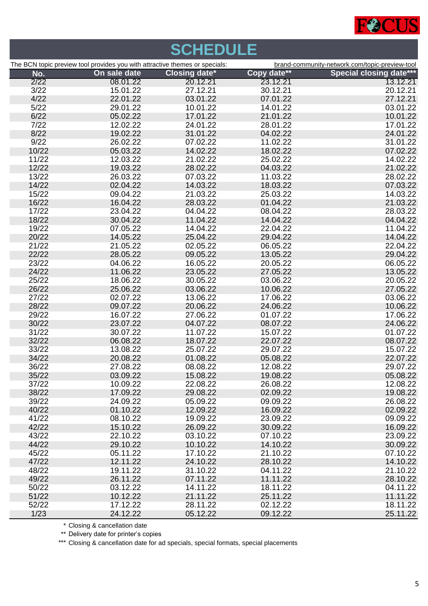

|       |                                                                             | <b>SCHEDULE</b>      |             |                                                |
|-------|-----------------------------------------------------------------------------|----------------------|-------------|------------------------------------------------|
|       | The BCN topic preview tool provides you with attractive themes or specials: |                      |             | brand-community-network.com/topic-preview-tool |
| No.   | On sale date                                                                | <b>Closing date*</b> | Copy date** | <b>Special closing date***</b>                 |
| 2/22  | 08.01.22                                                                    | 20.12.21             | 23.12.21    | 13.12.21                                       |
| 3/22  | 15.01.22                                                                    | 27.12.21             | 30.12.21    | 20.12.21                                       |
| 4/22  | 22.01.22                                                                    | 03.01.22             | 07.01.22    | 27.12.21                                       |
| 5/22  | 29.01.22                                                                    | 10.01.22             | 14.01.22    | 03.01.22                                       |
| 6/22  | 05.02.22                                                                    | 17.01.22             | 21.01.22    | 10.01.22                                       |
| 7/22  | 12.02.22                                                                    | 24.01.22             | 28.01.22    | 17.01.22                                       |
| 8/22  | 19.02.22                                                                    | 31.01.22             | 04.02.22    | 24.01.22                                       |
| 9/22  | 26.02.22                                                                    | 07.02.22             | 11.02.22    | 31.01.22                                       |
| 10/22 | 05.03.22                                                                    | 14.02.22             | 18.02.22    | 07.02.22                                       |
| 11/22 | 12.03.22                                                                    | 21.02.22             | 25.02.22    | 14.02.22                                       |
| 12/22 | 19.03.22                                                                    | 28.02.22             | 04.03.22    | 21.02.22                                       |
| 13/22 | 26.03.22                                                                    | 07.03.22             | 11.03.22    | 28.02.22                                       |
| 14/22 | 02.04.22                                                                    | 14.03.22             | 18.03.22    | 07.03.22                                       |
| 15/22 | 09.04.22                                                                    | 21.03.22             | 25.03.22    | 14.03.22                                       |
| 16/22 | 16.04.22                                                                    | 28.03.22             | 01.04.22    | 21.03.22                                       |
| 17/22 | 23.04.22                                                                    | 04.04.22             | 08.04.22    | 28.03.22                                       |
| 18/22 | 30.04.22                                                                    | 11.04.22             | 14.04.22    | 04.04.22                                       |
| 19/22 | 07.05.22                                                                    | 14.04.22             | 22.04.22    | 11.04.22                                       |
| 20/22 | 14.05.22                                                                    | 25.04.22             | 29.04.22    | 14.04.22                                       |
| 21/22 | 21.05.22                                                                    | 02.05.22             | 06.05.22    | 22.04.22                                       |
| 22/22 | 28.05.22                                                                    | 09.05.22             | 13.05.22    | 29.04.22                                       |
| 23/22 | 04.06.22                                                                    | 16.05.22             | 20.05.22    | 06.05.22                                       |
| 24/22 | 11.06.22                                                                    | 23.05.22             | 27.05.22    | 13.05.22                                       |
| 25/22 | 18.06.22                                                                    | 30.05.22             | 03.06.22    | 20.05.22                                       |
| 26/22 | 25.06.22                                                                    | 03.06.22             | 10.06.22    | 27.05.22                                       |
| 27/22 | 02.07.22                                                                    | 13.06.22             | 17.06.22    | 03.06.22                                       |
| 28/22 | 09.07.22                                                                    | 20.06.22             | 24.06.22    | 10.06.22                                       |
| 29/22 | 16.07.22                                                                    | 27.06.22             | 01.07.22    | 17.06.22                                       |
| 30/22 | 23.07.22                                                                    | 04.07.22             | 08.07.22    | 24.06.22                                       |
| 31/22 | 30.07.22                                                                    | 11.07.22             | 15.07.22    | 01.07.22                                       |
| 32/22 | 06.08.22                                                                    | 18.07.22             | 22.07.22    | 08.07.22                                       |
| 33/22 | 13.08.22                                                                    | 25.07.22             | 29.07.22    | 15.07.22                                       |
| 34/22 | 20.08.22                                                                    | 01.08.22             | 05.08.22    | 22.07.22                                       |
| 36/22 | 27.08.22                                                                    | 08.08.22             | 12.08.22    | 29.07.22                                       |
| 35/22 | 03.09.22                                                                    | 15.08.22             | 19.08.22    | 05.08.22                                       |
| 37/22 | 10.09.22                                                                    | 22.08.22             | 26.08.22    | 12.08.22                                       |
| 38/22 | 17.09.22                                                                    | 29.08.22             | 02.09.22    | 19.08.22                                       |
| 39/22 | 24.09.22                                                                    | 05.09.22             | 09.09.22    | 26.08.22                                       |
| 40/22 | 01.10.22                                                                    | 12.09.22             | 16.09.22    | 02.09.22                                       |
| 41/22 | 08.10.22                                                                    | 19.09.22             | 23.09.22    | 09.09.22                                       |
| 42/22 | 15.10.22                                                                    | 26.09.22             | 30.09.22    | 16.09.22                                       |
| 43/22 | 22.10.22                                                                    | 03.10.22             | 07.10.22    | 23.09.22                                       |
| 44/22 | 29.10.22                                                                    | 10.10.22             | 14.10.22    | 30.09.22                                       |
| 45/22 | 05.11.22                                                                    | 17.10.22             | 21.10.22    | 07.10.22                                       |
| 47/22 | 12.11.22                                                                    | 24.10.22             | 28.10.22    | 14.10.22                                       |
| 48/22 | 19.11.22                                                                    | 31.10.22             | 04.11.22    | 21.10.22                                       |
| 49/22 | 26.11.22                                                                    | 07.11.22             | 11.11.22    | 28.10.22                                       |
| 50/22 | 03.12.22                                                                    | 14.11.22             | 18.11.22    | 04.11.22                                       |
| 51/22 | 10.12.22                                                                    | 21.11.22             | 25.11.22    | 11.11.22                                       |
| 52/22 | 17.12.22                                                                    | 28.11.22             | 02.12.22    | 18.11.22                                       |
| 1/23  | 24.12.22                                                                    | 05.12.22             | 09.12.22    | 25.11.22                                       |
|       |                                                                             |                      |             |                                                |

\* Closing & cancellation date

\*\* Delivery date for printer's copies

\*\*\* Closing & cancellation date for ad specials, special formats, special placements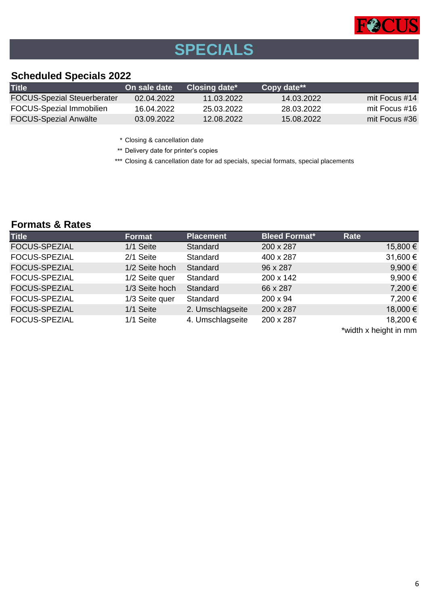

# **SPECIALS**

# **Scheduled Specials 2022**

| <b>Title</b>                       | On sale date | Closing date* | <b>Copy date**</b> |                 |
|------------------------------------|--------------|---------------|--------------------|-----------------|
| <b>FOCUS-Spezial Steuerberater</b> | 02.04.2022   | 11.03.2022    | 14.03.2022         | mit Focus $#14$ |
| <b>FOCUS-Spezial Immobilien</b>    | 16.04.2022   | 25.03.2022    | 28.03.2022         | mit Focus #16   |
| <b>FOCUS-Spezial Anwälte</b>       | 03.09.2022   | 12.08.2022    | 15.08.2022         | mit Focus #36   |

\* Closing & cancellation date

\*\* Delivery date for printer's copies

\*\*\* Closing & cancellation date for ad specials, special formats, special placements

# **Formats & Rates**

| <b>Title</b>         | <b>Format</b>  | <b>Placement</b> | <b>Bleed Format*</b> | Rate                  |
|----------------------|----------------|------------------|----------------------|-----------------------|
| <b>FOCUS-SPEZIAL</b> | 1/1 Seite      | Standard         | 200 x 287            | 15,800 €              |
| <b>FOCUS-SPEZIAL</b> | 2/1 Seite      | Standard         | 400 x 287            | 31,600 €              |
| <b>FOCUS-SPEZIAL</b> | 1/2 Seite hoch | Standard         | 96 x 287             | 9,900 $\epsilon$      |
| FOCUS-SPEZIAL        | 1/2 Seite quer | Standard         | 200 x 142            | $9,900 \in$           |
| <b>FOCUS-SPEZIAL</b> | 1/3 Seite hoch | Standard         | 66 x 287             | 7,200€                |
| <b>FOCUS-SPEZIAL</b> | 1/3 Seite quer | Standard         | $200 \times 94$      | 7,200€                |
| <b>FOCUS-SPEZIAL</b> | 1/1 Seite      | 2. Umschlagseite | 200 x 287            | 18,000 €              |
| <b>FOCUS-SPEZIAL</b> | 1/1 Seite      | 4. Umschlagseite | 200 x 287            | 18,200 €              |
|                      |                |                  |                      | *width x height in mm |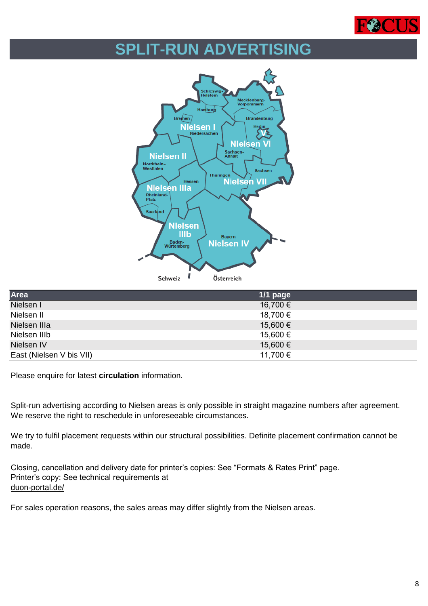

# **SPLIT-RUN ADVERTISING**



| Area                     | $1/1$ page |
|--------------------------|------------|
| Nielsen I                | 16,700 €   |
| Nielsen II               | 18,700 €   |
| Nielsen IIIa             | 15,600 €   |
| Nielsen IIIb             | 15,600 €   |
| Nielsen IV               | 15,600 €   |
| East (Nielsen V bis VII) | 11,700 €   |

Please enquire for latest **circulation** information.

Split-run advertising according to Nielsen areas is only possible in straight magazine numbers after agreement. We reserve the right to reschedule in unforeseeable circumstances.

We try to fulfil placement requests within our structural possibilities. Definite placement confirmation cannot be made.

Closing, cancellation and delivery date for printer's copies: See "Formats & Rates Print" page. Printer's copy: See technical requirements at [duon-portal.de/](https://duon-portal.de/)

For sales operation reasons, the sales areas may differ slightly from the Nielsen areas.